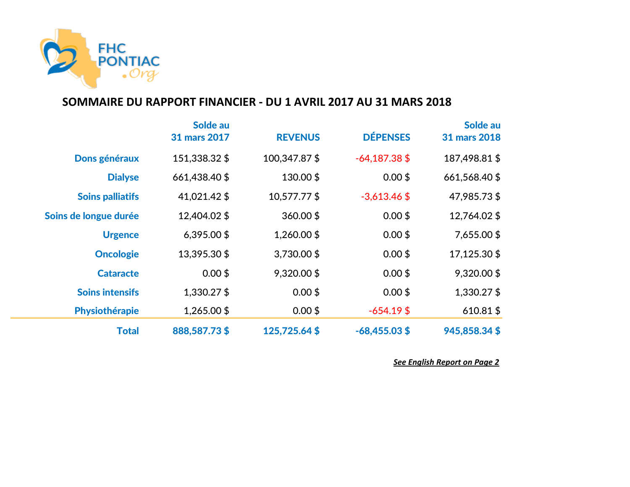

## **SOMMAIRE DU RAPPORT FINANCIER - DU 1 AVRIL 2017 AU 31 MARS 2018**

|                         | Solde au<br>31 mars 2017 | <b>REVENUS</b> | <b>DÉPENSES</b> | Solde au<br><b>31 mars 2018</b> |
|-------------------------|--------------------------|----------------|-----------------|---------------------------------|
| Dons généraux           | 151,338.32 \$            | 100,347.87 \$  | $-64,187.38$ \$ | 187,498.81 \$                   |
| <b>Dialyse</b>          | 661,438.40 \$            | 130.00\$       | $0.00$ \$       | 661,568.40 \$                   |
| <b>Soins palliatifs</b> | 41,021.42 \$             | 10,577.77 \$   | $-3,613.46$ \$  | 47,985.73\$                     |
| Soins de longue durée   | 12,404.02 \$             | 360.00\$       | $0.00$ \$       | 12,764.02 \$                    |
| <b>Urgence</b>          | $6,395.00$ \$            | 1,260.00 \$    | $0.00$ \$       | 7,655.00 \$                     |
| <b>Oncologie</b>        | 13,395.30 \$             | 3,730.00 \$    | $0.00$ \$       | 17,125.30 \$                    |
| <b>Cataracte</b>        | $0.00$ \$                | 9,320.00\$     | $0.00$ \$       | 9,320.00\$                      |
| <b>Soins intensifs</b>  | 1,330.27 \$              | $0.00$ \$      | $0.00$ \$       | 1,330.27 \$                     |
| Physiothérapie          | 1,265.00 \$              | $0.00$ \$      | $-654.19$ \$    | $610.81$ \$                     |
| <b>Total</b>            | 888,587.73\$             | 125,725.64\$   | $-68,455.03$ \$ | 945,858.34\$                    |

*See English Report on Page 2*